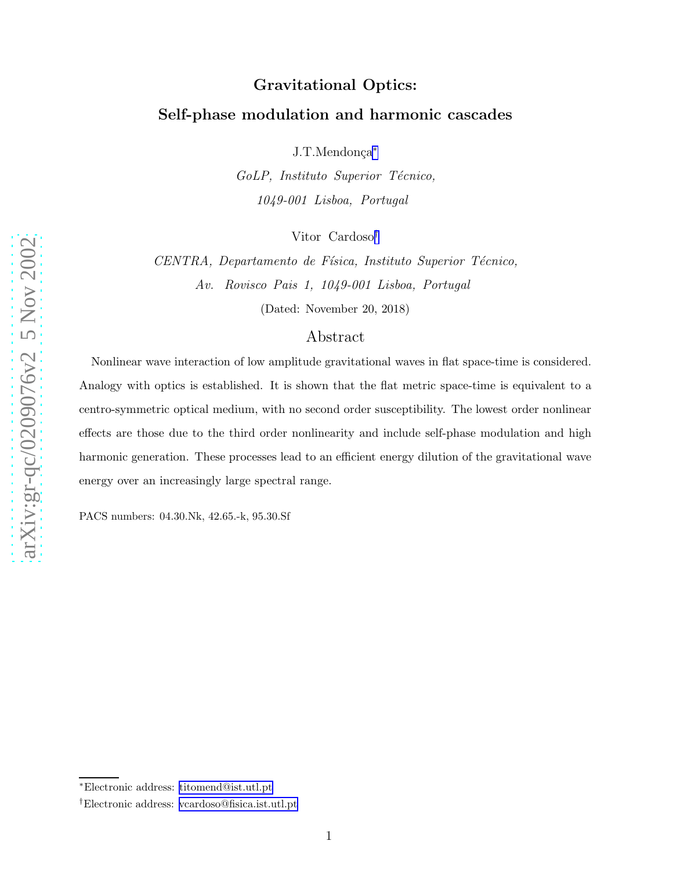# Gravitational Optics: Self-phase modulation and harmonic cascades

J.T.Mendonça\*

GoLP, Instituto Superior Técnico, 1049-001 Lisboa, Portugal

Vitor Cardoso †

CENTRA, Departamento de Física, Instituto Superior Técnico, Av. Rovisco Pais 1, 1049-001 Lisboa, Portugal

(Dated: November 20, 2018)

## Abstract

Nonlinear wave interaction of low amplitude gravitational waves in flat space-time is considered. Analogy with optics is established. It is shown that the flat metric space-time is equivalent to a centro-symmetric optical medium, with no second order susceptibility. The lowest order nonlinear effects are those due to the third order nonlinearity and include self-phase modulation and high harmonic generation. These processes lead to an efficient energy dilution of the gravitational wave energy over an increasingly large spectral range.

PACS numbers: 04.30.Nk, 42.65.-k, 95.30.Sf

<sup>∗</sup>Electronic address: [titomend@ist.utl.pt](mailto:titomend@ist.utl.pt)

<sup>†</sup>Electronic address: [vcardoso@fisica.ist.utl.pt](mailto:vcardoso@fisica.ist.utl.pt)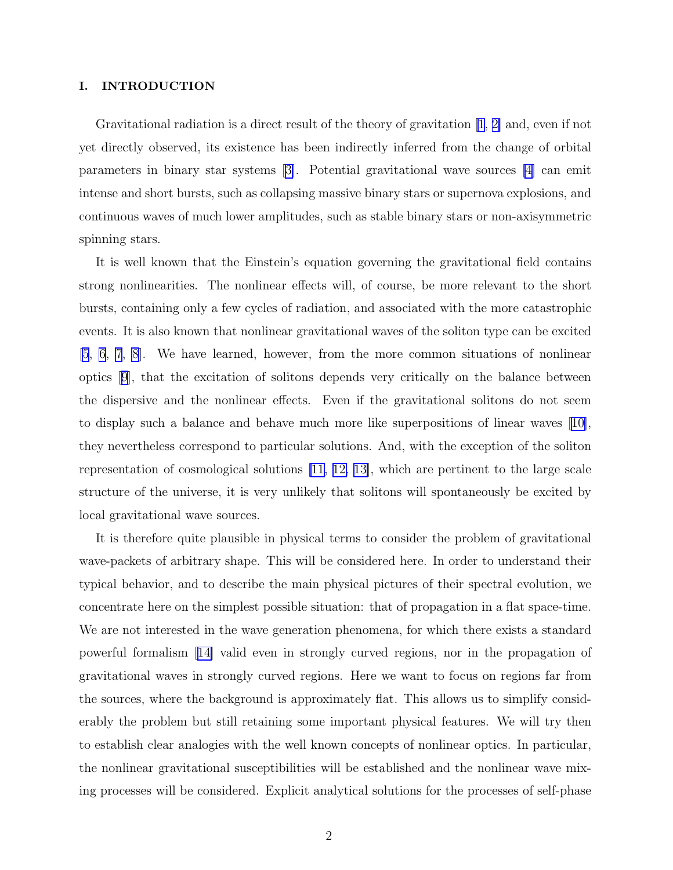#### I. INTRODUCTION

Gravitational radiation is a direct result of the theory of gravitation  $\ket{1, 2}$  and, even if not yet directly observed, its existence has been indirectly inferred from the change of orbital parameters in binary star systems[[3\]](#page-10-0). Potential gravitational wave sources [\[4](#page-10-0)] can emit intense and short bursts, such as collapsing massive binary stars or supernova explosions, and continuous waves of much lower amplitudes, such as stable binary stars or non-axisymmetric spinning stars.

It is well known that the Einstein's equation governing the gravitational field contains strong nonlinearities. The nonlinear effects will, of course, be more relevant to the short bursts, containing only a few cycles of radiation, and associated with the more catastrophic events. It is also known that nonlinear gravitational waves of the soliton type can be excited [\[5](#page-10-0), [6](#page-10-0), [7](#page-10-0), [8](#page-10-0)]. We have learned, however, from the more common situations of nonlinear optics[[9](#page-10-0)], that the excitation of solitons depends very critically on the balance between the dispersive and the nonlinear effects. Even if the gravitational solitons do not seem to display such a balance and behave much more like superpositions of linear waves [\[10\]](#page-10-0), they nevertheless correspond to particular solutions. And, with the exception of the soliton representation of cosmological solutions [\[11](#page-10-0), [12, 13\]](#page-11-0), which are pertinent to the large scale structure of the universe, it is very unlikely that solitons will spontaneously be excited by local gravitational wave sources.

It is therefore quite plausible in physical terms to consider the problem of gravitational wave-packets of arbitrary shape. This will be considered here. In order to understand their typical behavior, and to describe the main physical pictures of their spectral evolution, we concentrate here on the simplest possible situation: that of propagation in a flat space-time. We are not interested in the wave generation phenomena, for which there exists a standard powerful formalism[[14\]](#page-11-0) valid even in strongly curved regions, nor in the propagation of gravitational waves in strongly curved regions. Here we want to focus on regions far from the sources, where the background is approximately flat. This allows us to simplify considerably the problem but still retaining some important physical features. We will try then to establish clear analogies with the well known concepts of nonlinear optics. In particular, the nonlinear gravitational susceptibilities will be established and the nonlinear wave mixing processes will be considered. Explicit analytical solutions for the processes of self-phase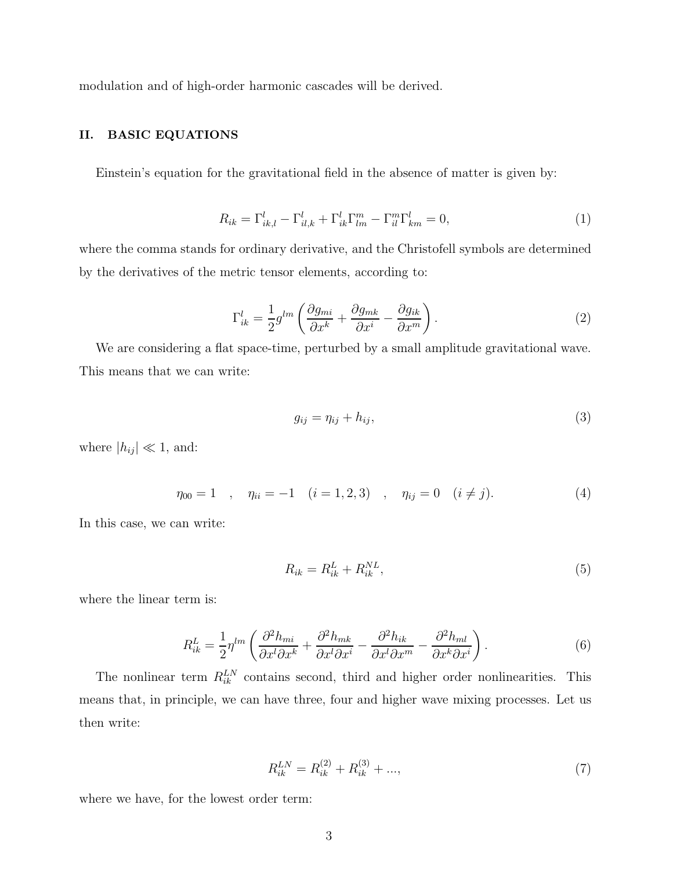<span id="page-2-0"></span>modulation and of high-order harmonic cascades will be derived.

### II. BASIC EQUATIONS

Einstein's equation for the gravitational field in the absence of matter is given by:

$$
R_{ik} = \Gamma_{ik,l}^l - \Gamma_{il,k}^l + \Gamma_{ik}^l \Gamma_{lm}^m - \Gamma_{il}^m \Gamma_{km}^l = 0,
$$
\n<sup>(1)</sup>

where the comma stands for ordinary derivative, and the Christofell symbols are determined by the derivatives of the metric tensor elements, according to:

$$
\Gamma_{ik}^l = \frac{1}{2} g^{lm} \left( \frac{\partial g_{mi}}{\partial x^k} + \frac{\partial g_{mk}}{\partial x^i} - \frac{\partial g_{ik}}{\partial x^m} \right). \tag{2}
$$

We are considering a flat space-time, perturbed by a small amplitude gravitational wave. This means that we can write:

$$
g_{ij} = \eta_{ij} + h_{ij},\tag{3}
$$

where  $|h_{ij}| \ll 1$ , and:

$$
\eta_{00} = 1 \quad , \quad \eta_{ii} = -1 \quad (i = 1, 2, 3) \quad , \quad \eta_{ij} = 0 \quad (i \neq j). \tag{4}
$$

In this case, we can write:

$$
R_{ik} = R_{ik}^L + R_{ik}^{NL},\tag{5}
$$

where the linear term is:

$$
R_{ik}^L = \frac{1}{2} \eta^{lm} \left( \frac{\partial^2 h_{mi}}{\partial x^l \partial x^k} + \frac{\partial^2 h_{mk}}{\partial x^l \partial x^i} - \frac{\partial^2 h_{ik}}{\partial x^l \partial x^m} - \frac{\partial^2 h_{ml}}{\partial x^k \partial x^i} \right). \tag{6}
$$

The nonlinear term  $R_{ik}^{LN}$  contains second, third and higher order nonlinearities. This means that, in principle, we can have three, four and higher wave mixing processes. Let us then write:

$$
R_{ik}^{LN} = R_{ik}^{(2)} + R_{ik}^{(3)} + \dots,\t\t(7)
$$

where we have, for the lowest order term: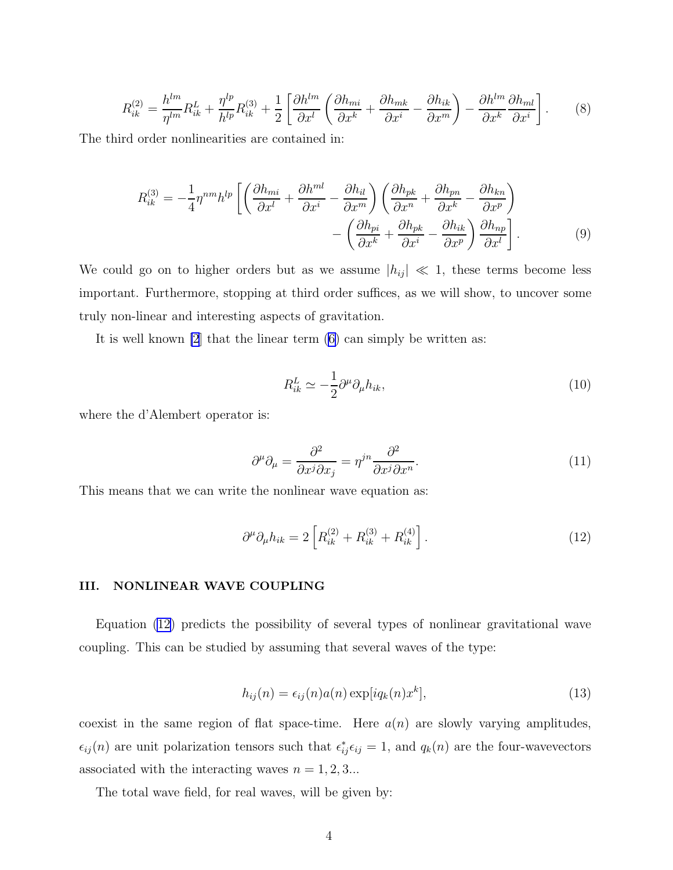<span id="page-3-0"></span>
$$
R_{ik}^{(2)} = \frac{h^{lm}}{\eta^{lm}} R_{ik}^L + \frac{\eta^{lp}}{h^{lp}} R_{ik}^{(3)} + \frac{1}{2} \left[ \frac{\partial h^{lm}}{\partial x^l} \left( \frac{\partial h_{mi}}{\partial x^k} + \frac{\partial h_{mk}}{\partial x^i} - \frac{\partial h_{ik}}{\partial x^m} \right) - \frac{\partial h^{lm}}{\partial x^k} \frac{\partial h_{ml}}{\partial x^i} \right].
$$
 (8)

The third order nonlinearities are contained in:

$$
R_{ik}^{(3)} = -\frac{1}{4} \eta^{nm} h^{lp} \left[ \left( \frac{\partial h_{mi}}{\partial x^l} + \frac{\partial h^{ml}}{\partial x^i} - \frac{\partial h_{il}}{\partial x^m} \right) \left( \frac{\partial h_{pk}}{\partial x^n} + \frac{\partial h_{pn}}{\partial x^k} - \frac{\partial h_{kn}}{\partial x^p} \right) - \left( \frac{\partial h_{pi}}{\partial x^k} + \frac{\partial h_{pk}}{\partial x^i} - \frac{\partial h_{ik}}{\partial x^p} \right) \frac{\partial h_{np}}{\partial x^l} \right].
$$
 (9)

We could go on to higher orders but as we assume  $|h_{ij}| \ll 1$ , these terms become less important. Furthermore, stopping at third order suffices, as we will show, to uncover some truly non-linear and interesting aspects of gravitation.

It is well known [\[2](#page-10-0)] that the linear term [\(6\)](#page-2-0) can simply be written as:

$$
R_{ik}^L \simeq -\frac{1}{2} \partial^\mu \partial_\mu h_{ik},\tag{10}
$$

where the d'Alembert operator is:

$$
\partial^{\mu}\partial_{\mu} = \frac{\partial^2}{\partial x^j \partial x_j} = \eta^{jn} \frac{\partial^2}{\partial x^j \partial x^n}.
$$
\n(11)

This means that we can write the nonlinear wave equation as:

$$
\partial^{\mu}\partial_{\mu}h_{ik} = 2\left[R_{ik}^{(2)} + R_{ik}^{(3)} + R_{ik}^{(4)}\right].
$$
 (12)

#### III. NONLINEAR WAVE COUPLING

Equation (12) predicts the possibility of several types of nonlinear gravitational wave coupling. This can be studied by assuming that several waves of the type:

$$
h_{ij}(n) = \epsilon_{ij}(n)a(n)\exp[iq_k(n)x^k],\tag{13}
$$

coexist in the same region of flat space-time. Here  $a(n)$  are slowly varying amplitudes,  $\epsilon_{ij}(n)$  are unit polarization tensors such that  $\epsilon_{ij}^* \epsilon_{ij} = 1$ , and  $q_k(n)$  are the four-wavevectors associated with the interacting waves  $n = 1, 2, 3...$ 

The total wave field, for real waves, will be given by: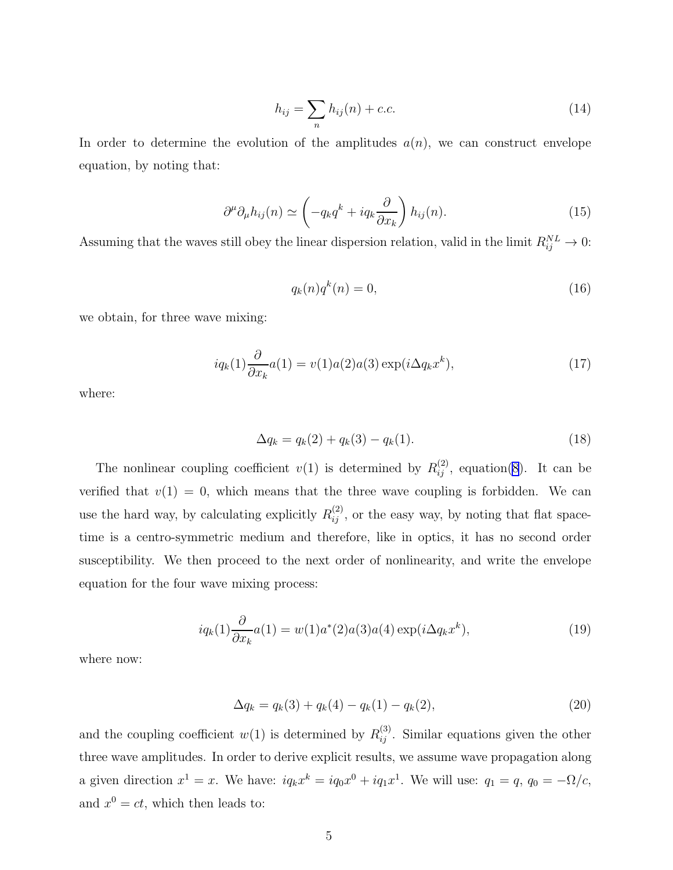$$
h_{ij} = \sum_{n} h_{ij}(n) + c.c.
$$
 (14)

<span id="page-4-0"></span>In order to determine the evolution of the amplitudes  $a(n)$ , we can construct envelope equation, by noting that:

$$
\partial^{\mu}\partial_{\mu}h_{ij}(n) \simeq \left(-q_k q^k + iq_k \frac{\partial}{\partial x_k}\right) h_{ij}(n). \tag{15}
$$

Assuming that the waves still obey the linear dispersion relation, valid in the limit  $R_{ij}^{NL} \to 0$ :

$$
q_k(n)q^k(n) = 0,\t\t(16)
$$

we obtain, for three wave mixing:

$$
iq_k(1)\frac{\partial}{\partial x_k}a(1) = v(1)a(2)a(3)\exp(i\Delta q_k x^k),\tag{17}
$$

where:

$$
\Delta q_k = q_k(2) + q_k(3) - q_k(1). \tag{18}
$$

The nonlinear coupling coefficient  $v(1)$  is determined by  $R_{ij}^{(2)}$ , equation[\(8](#page-3-0)). It can be verified that  $v(1) = 0$ , which means that the three wave coupling is forbidden. We can use the hard way, by calculating explicitly  $R_{ij}^{(2)}$ , or the easy way, by noting that flat spacetime is a centro-symmetric medium and therefore, like in optics, it has no second order susceptibility. We then proceed to the next order of nonlinearity, and write the envelope equation for the four wave mixing process:

$$
iq_k(1)\frac{\partial}{\partial x_k}a(1) = w(1)a^*(2)a(3)a(4)\exp(i\Delta q_k x^k),\tag{19}
$$

where now:

$$
\Delta q_k = q_k(3) + q_k(4) - q_k(1) - q_k(2), \tag{20}
$$

and the coupling coefficient  $w(1)$  is determined by  $R_{ij}^{(3)}$ . Similar equations given the other three wave amplitudes. In order to derive explicit results, we assume wave propagation along a given direction  $x^1 = x$ . We have:  $iq_k x^k = iq_0 x^0 + iq_1 x^1$ . We will use:  $q_1 = q$ ,  $q_0 = -\Omega/c$ , and  $x^0 = ct$ , which then leads to: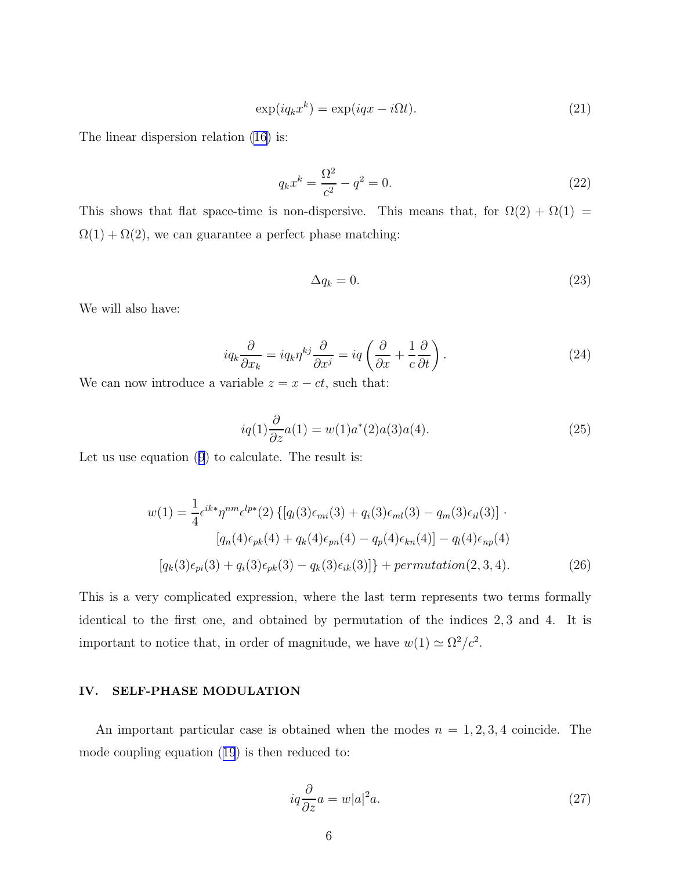$$
\exp(iq_k x^k) = \exp(iqx - i\Omega t). \tag{21}
$$

<span id="page-5-0"></span>The linear dispersion relation [\(16\)](#page-4-0) is:

$$
q_k x^k = \frac{\Omega^2}{c^2} - q^2 = 0.
$$
 (22)

This shows that flat space-time is non-dispersive. This means that, for  $\Omega(2) + \Omega(1) =$  $\Omega(1) + \Omega(2)$ , we can guarantee a perfect phase matching:

$$
\Delta q_k = 0. \tag{23}
$$

We will also have:

$$
iq_k \frac{\partial}{\partial x_k} = iq_k \eta^{kj} \frac{\partial}{\partial x^j} = iq \left( \frac{\partial}{\partial x} + \frac{1}{c} \frac{\partial}{\partial t} \right).
$$
 (24)

We can now introduce a variable  $z = x - ct$ , such that:

$$
iq(1)\frac{\partial}{\partial z}a(1) = w(1)a^*(2)a(3)a(4).
$$
 (25)

Let us use equation([9](#page-3-0)) to calculate. The result is:

$$
w(1) = \frac{1}{4} \epsilon^{ik*} \eta^{nm} \epsilon^{lp*}(2) \left\{ [q_l(3)\epsilon_{mi}(3) + q_i(3)\epsilon_{ml}(3) - q_m(3)\epsilon_{il}(3)] \right\}.
$$

$$
[q_n(4)\epsilon_{pk}(4) + q_k(4)\epsilon_{pn}(4) - q_p(4)\epsilon_{kn}(4)] - q_l(4)\epsilon_{np}(4)
$$

$$
[q_k(3)\epsilon_{pi}(3) + q_i(3)\epsilon_{pk}(3) - q_k(3)\epsilon_{ik}(3)] \} + permutation(2,3,4).
$$
 (26)

This is a very complicated expression, where the last term represents two terms formally identical to the first one, and obtained by permutation of the indices 2, 3 and 4. It is important to notice that, in order of magnitude, we have  $w(1) \simeq \Omega^2/c^2$ .

#### IV. SELF-PHASE MODULATION

An important particular case is obtained when the modes  $n = 1, 2, 3, 4$  coincide. The mode coupling equation([19](#page-4-0)) is then reduced to:

$$
iq\frac{\partial}{\partial z}a = w|a|^2 a.
$$
 (27)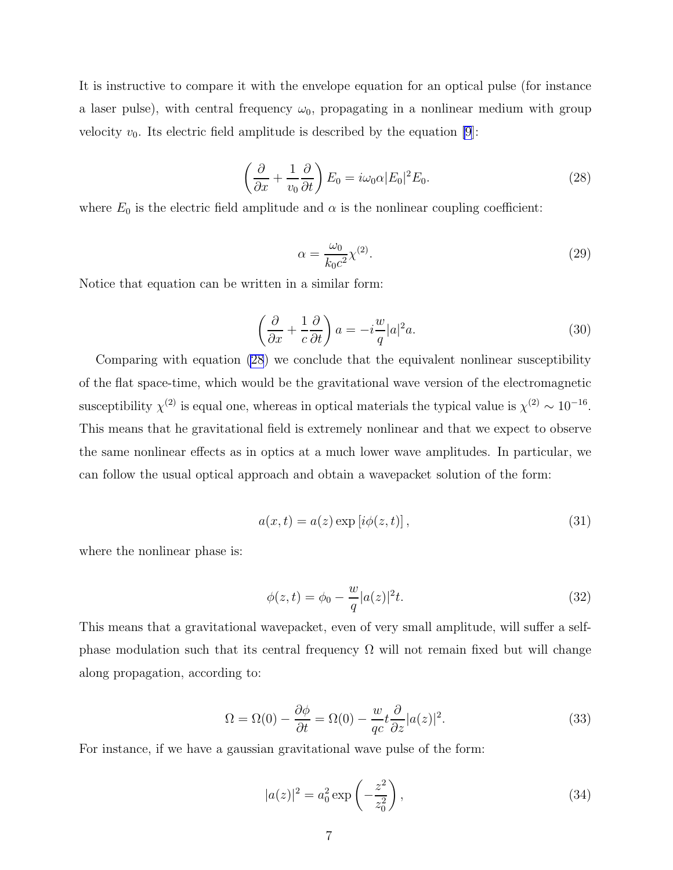It is instructive to compare it with the envelope equation for an optical pulse (for instance a laser pulse), with central frequency  $\omega_0$ , propagating in a nonlinear medium with group velocity  $v_0$ . Its electric field amplitude is described by the equation [\[9](#page-10-0)]:

$$
\left(\frac{\partial}{\partial x} + \frac{1}{v_0} \frac{\partial}{\partial t}\right) E_0 = i\omega_0 \alpha |E_0|^2 E_0.
$$
\n(28)

where  $E_0$  is the electric field amplitude and  $\alpha$  is the nonlinear coupling coefficient:

$$
\alpha = \frac{\omega_0}{k_0 c^2} \chi^{(2)}.\tag{29}
$$

Notice that equation can be written in a similar form:

$$
\left(\frac{\partial}{\partial x} + \frac{1}{c}\frac{\partial}{\partial t}\right) a = -i\frac{w}{q}|a|^2 a.
$$
\n(30)

Comparing with equation (28) we conclude that the equivalent nonlinear susceptibility of the flat space-time, which would be the gravitational wave version of the electromagnetic susceptibility  $\chi^{(2)}$  is equal one, whereas in optical materials the typical value is  $\chi^{(2)} \sim 10^{-16}$ . This means that he gravitational field is extremely nonlinear and that we expect to observe the same nonlinear effects as in optics at a much lower wave amplitudes. In particular, we can follow the usual optical approach and obtain a wavepacket solution of the form:

$$
a(x,t) = a(z) \exp[i\phi(z,t)],
$$
\n(31)

where the nonlinear phase is:

$$
\phi(z,t) = \phi_0 - \frac{w}{q} |a(z)|^2 t.
$$
\n(32)

This means that a gravitational wavepacket, even of very small amplitude, will suffer a selfphase modulation such that its central frequency  $\Omega$  will not remain fixed but will change along propagation, according to:

$$
\Omega = \Omega(0) - \frac{\partial \phi}{\partial t} = \Omega(0) - \frac{w}{qc} t \frac{\partial}{\partial z} |a(z)|^2.
$$
\n(33)

For instance, if we have a gaussian gravitational wave pulse of the form:

$$
|a(z)|^2 = a_0^2 \exp\left(-\frac{z^2}{z_0^2}\right),\tag{34}
$$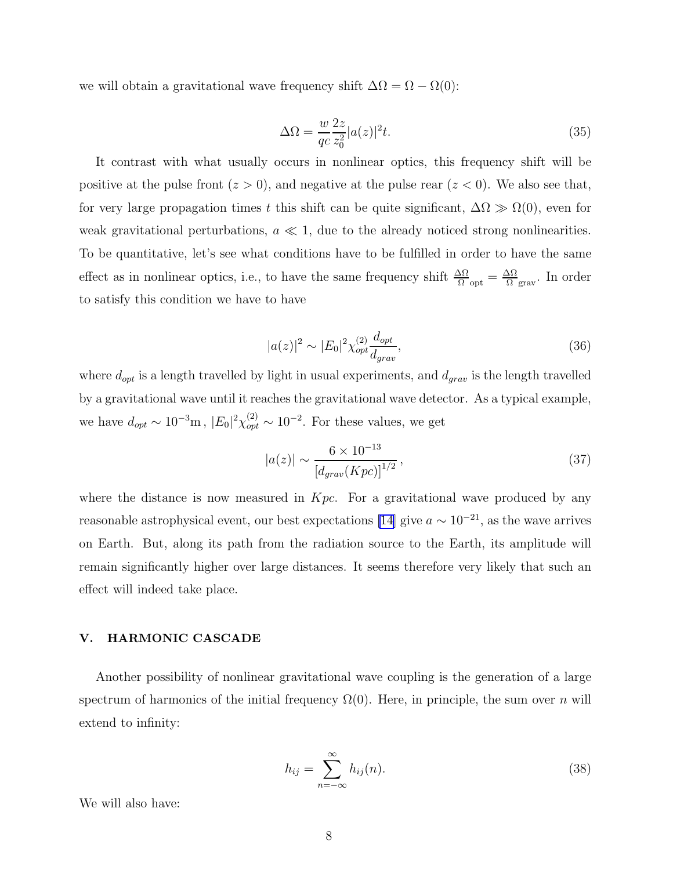we will obtain a gravitational wave frequency shift  $\Delta\Omega = \Omega - \Omega(0)$ :

$$
\Delta\Omega = \frac{w}{qc} \frac{2z}{z_0^2} |a(z)|^2 t. \tag{35}
$$

It contrast with what usually occurs in nonlinear optics, this frequency shift will be positive at the pulse front  $(z > 0)$ , and negative at the pulse rear  $(z < 0)$ . We also see that, for very large propagation times t this shift can be quite significant,  $\Delta\Omega \gg \Omega(0)$ , even for weak gravitational perturbations,  $a \ll 1$ , due to the already noticed strong nonlinearities. To be quantitative, let's see what conditions have to be fulfilled in order to have the same effect as in nonlinear optics, i.e., to have the same frequency shift  $\frac{\Delta\Omega}{\Omega_{\text{opt}}} = \frac{\Delta\Omega}{\Omega}$  $\frac{\Delta\Omega}{\Omega}$ <sub>grav</sub>. In order to satisfy this condition we have to have

$$
|a(z)|^2 \sim |E_0|^2 \chi_{opt}^{(2)} \frac{d_{opt}}{d_{grav}},
$$
\n(36)

where  $d_{opt}$  is a length travelled by light in usual experiments, and  $d_{grav}$  is the length travelled by a gravitational wave until it reaches the gravitational wave detector. As a typical example, we have  $d_{opt} \sim 10^{-3}$ m,  $|E_0|^2 \chi_{opt}^{(2)} \sim 10^{-2}$ . For these values, we get

$$
|a(z)| \sim \frac{6 \times 10^{-13}}{\left[d_{grav}(Kpc)\right]^{1/2}},\tag{37}
$$

where the distance is now measured in  $Kpc$ . For a gravitational wave produced by any reasonable astrophysical event, our best expectations [\[14\]](#page-11-0) give  $a \sim 10^{-21}$ , as the wave arrives on Earth. But, along its path from the radiation source to the Earth, its amplitude will remain significantly higher over large distances. It seems therefore very likely that such an effect will indeed take place.

#### V. HARMONIC CASCADE

Another possibility of nonlinear gravitational wave coupling is the generation of a large spectrum of harmonics of the initial frequency  $\Omega(0)$ . Here, in principle, the sum over n will extend to infinity:

$$
h_{ij} = \sum_{n = -\infty}^{\infty} h_{ij}(n).
$$
 (38)

We will also have: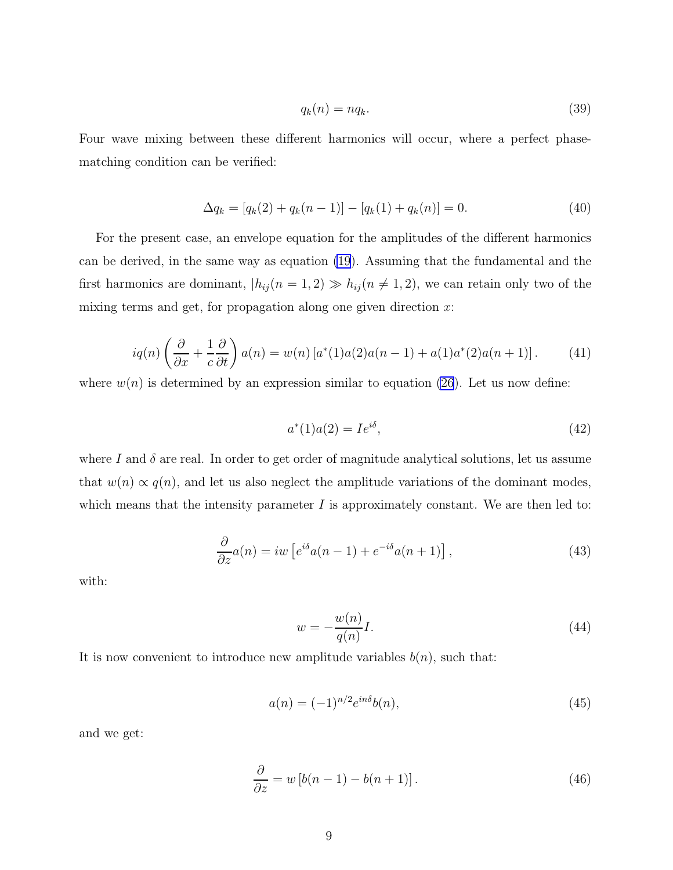$$
q_k(n) = nq_k. \tag{39}
$$

Four wave mixing between these different harmonics will occur, where a perfect phasematching condition can be verified:

$$
\Delta q_k = [q_k(2) + q_k(n-1)] - [q_k(1) + q_k(n)] = 0.
$$
\n(40)

For the present case, an envelope equation for the amplitudes of the different harmonics can be derived, in the same way as equation [\(19](#page-4-0)). Assuming that the fundamental and the first harmonics are dominant,  $|h_{ij}(n = 1, 2) \gg h_{ij}(n \neq 1, 2)$ , we can retain only two of the mixing terms and get, for propagation along one given direction  $x$ :

$$
iq(n)\left(\frac{\partial}{\partial x} + \frac{1}{c}\frac{\partial}{\partial t}\right)a(n) = w(n)[a^*(1)a(2)a(n-1) + a(1)a^*(2)a(n+1)].\tag{41}
$$

where  $w(n)$  is determined by an expression similar to equation [\(26](#page-5-0)). Let us now define:

$$
a^*(1)a(2) = Ie^{i\delta}, \t\t(42)
$$

where I and  $\delta$  are real. In order to get order of magnitude analytical solutions, let us assume that  $w(n) \propto q(n)$ , and let us also neglect the amplitude variations of the dominant modes, which means that the intensity parameter  $I$  is approximately constant. We are then led to:

$$
\frac{\partial}{\partial z}a(n) = iw\left[e^{i\delta}a(n-1) + e^{-i\delta}a(n+1)\right],\tag{43}
$$

with:

$$
w = -\frac{w(n)}{q(n)}I.
$$
\n(44)

It is now convenient to introduce new amplitude variables  $b(n)$ , such that:

$$
a(n) = (-1)^{n/2} e^{in\delta} b(n),
$$
\n(45)

and we get:

$$
\frac{\partial}{\partial z} = w \left[ b(n-1) - b(n+1) \right]. \tag{46}
$$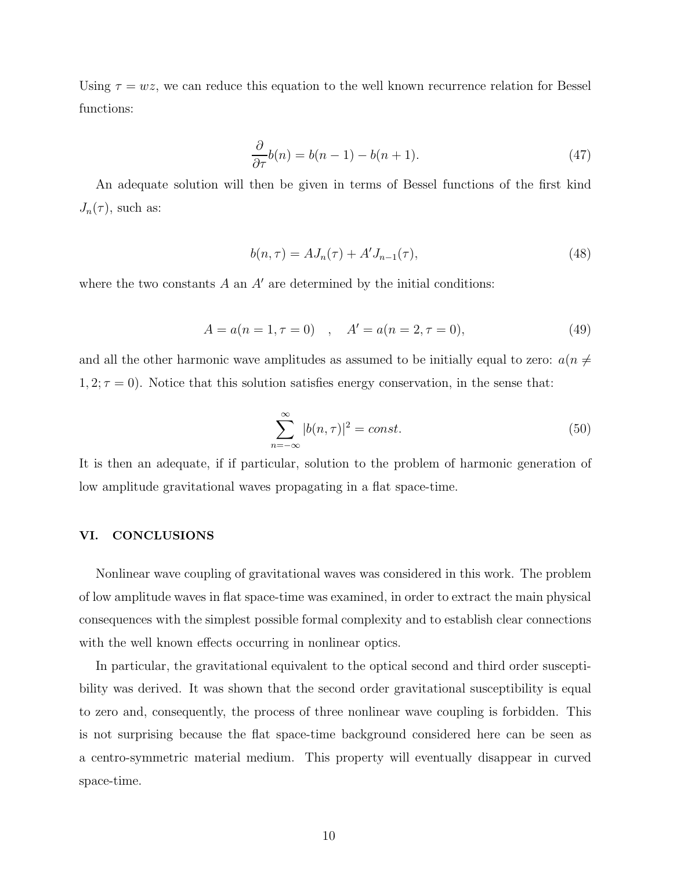Using  $\tau = wz$ , we can reduce this equation to the well known recurrence relation for Bessel functions:

$$
\frac{\partial}{\partial \tau}b(n) = b(n-1) - b(n+1). \tag{47}
$$

An adequate solution will then be given in terms of Bessel functions of the first kind  $J_n(\tau)$ , such as:

$$
b(n,\tau) = AJ_n(\tau) + A'J_{n-1}(\tau),
$$
\n(48)

where the two constants  $A$  an  $A'$  are determined by the initial conditions:

$$
A = a(n = 1, \tau = 0) , \quad A' = a(n = 2, \tau = 0), \tag{49}
$$

and all the other harmonic wave amplitudes as assumed to be initially equal to zero:  $a(n \neq$  $1, 2; \tau = 0$ ). Notice that this solution satisfies energy conservation, in the sense that:

$$
\sum_{n=-\infty}^{\infty} |b(n,\tau)|^2 = const.
$$
\n(50)

It is then an adequate, if if particular, solution to the problem of harmonic generation of low amplitude gravitational waves propagating in a flat space-time.

#### VI. CONCLUSIONS

Nonlinear wave coupling of gravitational waves was considered in this work. The problem of low amplitude waves in flat space-time was examined, in order to extract the main physical consequences with the simplest possible formal complexity and to establish clear connections with the well known effects occurring in nonlinear optics.

In particular, the gravitational equivalent to the optical second and third order susceptibility was derived. It was shown that the second order gravitational susceptibility is equal to zero and, consequently, the process of three nonlinear wave coupling is forbidden. This is not surprising because the flat space-time background considered here can be seen as a centro-symmetric material medium. This property will eventually disappear in curved space-time.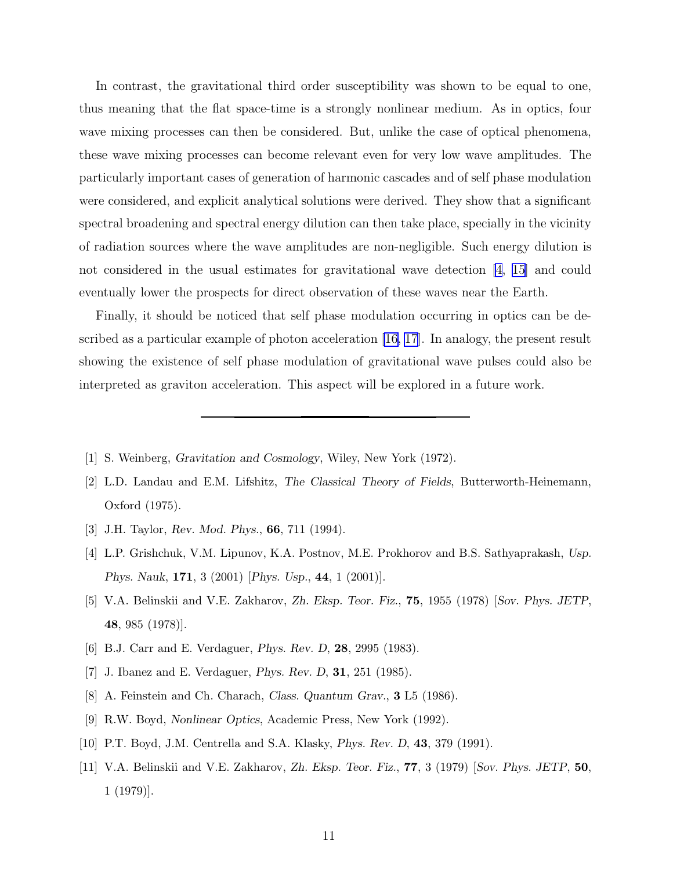<span id="page-10-0"></span>In contrast, the gravitational third order susceptibility was shown to be equal to one, thus meaning that the flat space-time is a strongly nonlinear medium. As in optics, four wave mixing processes can then be considered. But, unlike the case of optical phenomena, these wave mixing processes can become relevant even for very low wave amplitudes. The particularly important cases of generation of harmonic cascades and of self phase modulation were considered, and explicit analytical solutions were derived. They show that a significant spectral broadening and spectral energy dilution can then take place, specially in the vicinity of radiation sources where the wave amplitudes are non-negligible. Such energy dilution is not considered in the usual estimates for gravitational wave detection [4, [15\]](#page-11-0) and could eventually lower the prospects for direct observation of these waves near the Earth.

Finally, it should be noticed that self phase modulation occurring in optics can be described as a particular example of photon acceleration [\[16, 17](#page-11-0)]. In analogy, the present result showing the existence of self phase modulation of gravitational wave pulses could also be interpreted as graviton acceleration. This aspect will be explored in a future work.

- [1] S. Weinberg, Gravitation and Cosmology, Wiley, New York (1972).
- [2] L.D. Landau and E.M. Lifshitz, The Classical Theory of Fields, Butterworth-Heinemann, Oxford (1975).
- [3] J.H. Taylor, Rev. Mod. Phys., 66, 711 (1994).
- [4] L.P. Grishchuk, V.M. Lipunov, K.A. Postnov, M.E. Prokhorov and B.S. Sathyaprakash, Usp. Phys. Nauk, 171, 3 (2001) [Phys. Usp., 44, 1 (2001)].
- [5] V.A. Belinskii and V.E. Zakharov, Zh. Eksp. Teor. Fiz., 75, 1955 (1978) [Sov. Phys. JETP, 48, 985 (1978)].
- [6] B.J. Carr and E. Verdaguer, Phys. Rev. D, 28, 2995 (1983).
- [7] J. Ibanez and E. Verdaguer, Phys. Rev. D, 31, 251 (1985).
- [8] A. Feinstein and Ch. Charach, Class. Quantum Grav., **3** L5 (1986).
- [9] R.W. Boyd, Nonlinear Optics, Academic Press, New York (1992).
- [10] P.T. Boyd, J.M. Centrella and S.A. Klasky, *Phys. Rev. D*, **43**, 379 (1991).
- [11] V.A. Belinskii and V.E. Zakharov, Zh. Eksp. Teor. Fiz., 77, 3 (1979) [Sov. Phys. JETP, 50, 1 (1979)].